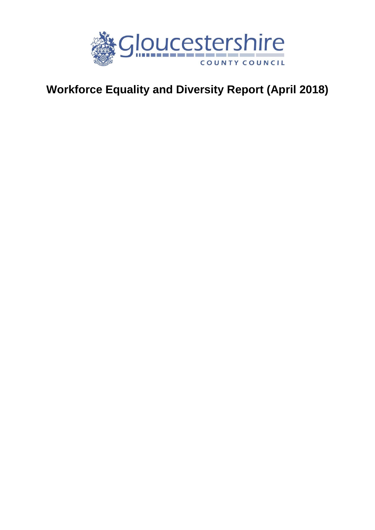

# **Workforce Equality and Diversity Report (April 2018)**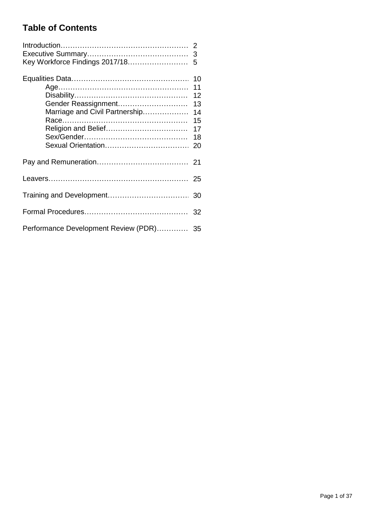## **Table of Contents**

| Key Workforce Findings 2017/18                        | 3<br>5                                             |  |  |
|-------------------------------------------------------|----------------------------------------------------|--|--|
| Gender Reassignment<br>Marriage and Civil Partnership | 10<br>11<br>12<br>13<br>14<br>15<br>17<br>18<br>20 |  |  |
|                                                       |                                                    |  |  |
|                                                       |                                                    |  |  |
|                                                       |                                                    |  |  |
|                                                       |                                                    |  |  |
| Performance Development Review (PDR) 35               |                                                    |  |  |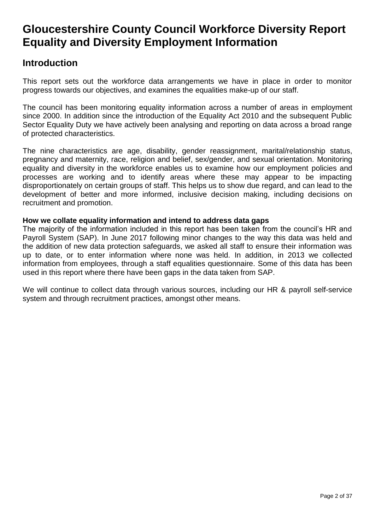# **Gloucestershire County Council Workforce Diversity Report Equality and Diversity Employment Information**

## **Introduction**

This report sets out the workforce data arrangements we have in place in order to monitor progress towards our objectives, and examines the equalities make-up of our staff.

The council has been monitoring equality information across a number of areas in employment since 2000. In addition since the introduction of the Equality Act 2010 and the subsequent Public Sector Equality Duty we have actively been analysing and reporting on data across a broad range of protected characteristics.

The nine characteristics are age, disability, gender reassignment, marital/relationship status, pregnancy and maternity, race, religion and belief, sex/gender, and sexual orientation. Monitoring equality and diversity in the workforce enables us to examine how our employment policies and processes are working and to identify areas where these may appear to be impacting disproportionately on certain groups of staff. This helps us to show due regard, and can lead to the development of better and more informed, inclusive decision making, including decisions on recruitment and promotion.

#### **How we collate equality information and intend to address data gaps**

The majority of the information included in this report has been taken from the council's HR and Payroll System (SAP). In June 2017 following minor changes to the way this data was held and the addition of new data protection safeguards, we asked all staff to ensure their information was up to date, or to enter information where none was held. In addition, in 2013 we collected information from employees, through a staff equalities questionnaire. Some of this data has been used in this report where there have been gaps in the data taken from SAP.

We will continue to collect data through various sources, including our HR & payroll self-service system and through recruitment practices, amongst other means.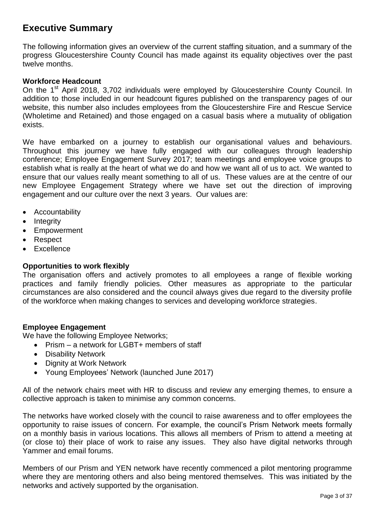## **Executive Summary**

The following information gives an overview of the current staffing situation, and a summary of the progress Gloucestershire County Council has made against its equality objectives over the past twelve months.

#### **Workforce Headcount**

On the 1<sup>st</sup> April 2018, 3,702 individuals were employed by Gloucestershire County Council. In addition to those included in our headcount figures published on the transparency pages of our website, this number also includes employees from the Gloucestershire Fire and Rescue Service (Wholetime and Retained) and those engaged on a casual basis where a mutuality of obligation exists.

We have embarked on a journey to establish our organisational values and behaviours. Throughout this journey we have fully engaged with our colleagues through leadership conference; Employee Engagement Survey 2017; team meetings and employee voice groups to establish what is really at the heart of what we do and how we want all of us to act. We wanted to ensure that our values really meant something to all of us. These values are at the centre of our new Employee Engagement Strategy where we have set out the direction of improving engagement and our culture over the next 3 years. Our values are:

- Accountability
- $\bullet$  Integrity
- Empowerment
- Respect
- **Excellence**

#### **Opportunities to work flexibly**

The organisation offers and actively promotes to all employees a range of flexible working practices and family friendly policies. Other measures as appropriate to the particular circumstances are also considered and the council always gives due regard to the diversity profile of the workforce when making changes to services and developing workforce strategies.

#### **Employee Engagement**

We have the following Employee Networks;

- Prism a network for LGBT+ members of staff
- Disability Network
- Dignity at Work Network
- Young Employees' Network (launched June 2017)

All of the network chairs meet with HR to discuss and review any emerging themes, to ensure a collective approach is taken to minimise any common concerns.

The networks have worked closely with the council to raise awareness and to offer employees the opportunity to raise issues of concern. For example, the council's Prism Network meets formally on a monthly basis in various locations. This allows all members of Prism to attend a meeting at (or close to) their place of work to raise any issues. They also have digital networks through Yammer and email forums.

Members of our Prism and YEN network have recently commenced a pilot mentoring programme where they are mentoring others and also being mentored themselves. This was initiated by the networks and actively supported by the organisation.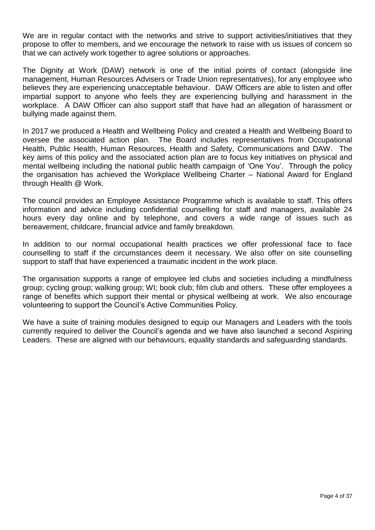We are in regular contact with the networks and strive to support activities/initiatives that they propose to offer to members, and we encourage the network to raise with us issues of concern so that we can actively work together to agree solutions or approaches.

The Dignity at Work (DAW) network is one of the initial points of contact (alongside line management, Human Resources Advisers or Trade Union representatives), for any employee who believes they are experiencing unacceptable behaviour. DAW Officers are able to listen and offer impartial support to anyone who feels they are experiencing bullying and harassment in the workplace. A DAW Officer can also support staff that have had an allegation of harassment or bullying made against them.

In 2017 we produced a Health and Wellbeing Policy and created a Health and Wellbeing Board to oversee the associated action plan. The Board includes representatives from Occupational Health, Public Health, Human Resources, Health and Safety, Communications and DAW. The key aims of this policy and the associated action plan are to focus key initiatives on physical and mental wellbeing including the national public health campaign of 'One You'. Through the policy the organisation has achieved the Workplace Wellbeing Charter – National Award for England through Health @ Work.

The council provides an Employee Assistance Programme which is available to staff. This offers information and advice including confidential counselling for staff and managers, available 24 hours every day online and by telephone, and covers a wide range of issues such as bereavement, childcare, financial advice and family breakdown.

In addition to our normal occupational health practices we offer professional face to face counselling to staff if the circumstances deem it necessary. We also offer on site counselling support to staff that have experienced a traumatic incident in the work place.

The organisation supports a range of employee led clubs and societies including a mindfulness group; cycling group; walking group; WI; book club; film club and others. These offer employees a range of benefits which support their mental or physical wellbeing at work. We also encourage volunteering to support the Council's Active Communities Policy.

We have a suite of training modules designed to equip our Managers and Leaders with the tools currently required to deliver the Council's agenda and we have also launched a second Aspiring Leaders. These are aligned with our behaviours, equality standards and safeguarding standards.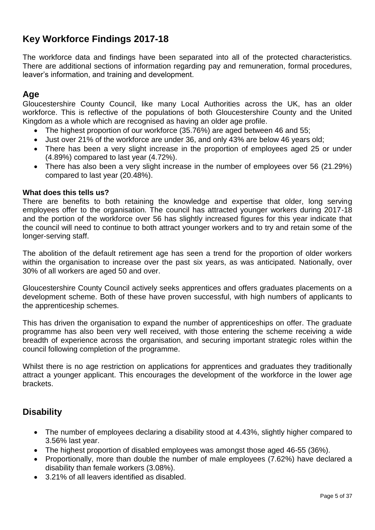## **Key Workforce Findings 2017-18**

The workforce data and findings have been separated into all of the protected characteristics. There are additional sections of information regarding pay and remuneration, formal procedures, leaver's information, and training and development.

#### **Age**

Gloucestershire County Council, like many Local Authorities across the UK, has an older workforce. This is reflective of the populations of both Gloucestershire County and the United Kingdom as a whole which are recognised as having an older age profile.

- The highest proportion of our workforce (35.76%) are aged between 46 and 55;
- Just over 21% of the workforce are under 36, and only 43% are below 46 years old;
- There has been a very slight increase in the proportion of employees aged 25 or under (4.89%) compared to last year (4.72%).
- There has also been a very slight increase in the number of employees over 56 (21.29%) compared to last year (20.48%).

#### **What does this tells us?**

There are benefits to both retaining the knowledge and expertise that older, long serving employees offer to the organisation. The council has attracted younger workers during 2017-18 and the portion of the workforce over 56 has slightly increased figures for this year indicate that the council will need to continue to both attract younger workers and to try and retain some of the longer-serving staff.

The abolition of the default retirement age has seen a trend for the proportion of older workers within the organisation to increase over the past six years, as was anticipated. Nationally, over 30% of all workers are aged 50 and over.

Gloucestershire County Council actively seeks apprentices and offers graduates placements on a development scheme. Both of these have proven successful, with high numbers of applicants to the apprenticeship schemes.

This has driven the organisation to expand the number of apprenticeships on offer. The graduate programme has also been very well received, with those entering the scheme receiving a wide breadth of experience across the organisation, and securing important strategic roles within the council following completion of the programme.

Whilst there is no age restriction on applications for apprentices and graduates they traditionally attract a younger applicant. This encourages the development of the workforce in the lower age brackets.

#### **Disability**

- The number of employees declaring a disability stood at 4.43%, slightly higher compared to 3.56% last year.
- The highest proportion of disabled employees was amongst those aged 46-55 (36%).
- Proportionally, more than double the number of male employees (7.62%) have declared a disability than female workers (3.08%).
- 3.21% of all leavers identified as disabled.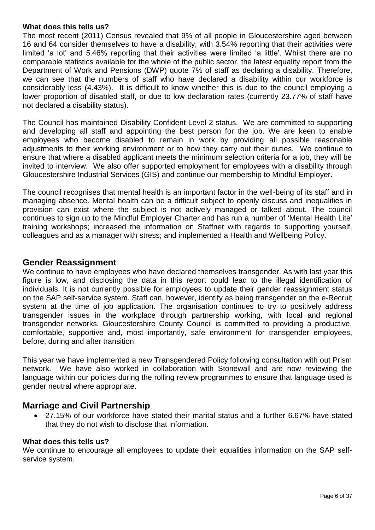#### **What does this tells us?**

The most recent (2011) Census revealed that 9% of all people in Gloucestershire aged between 16 and 64 consider themselves to have a disability, with 3.54% reporting that their activities were limited 'a lot' and 5.46% reporting that their activities were limited 'a little'. Whilst there are no comparable statistics available for the whole of the public sector, the latest equality report from the Department of Work and Pensions (DWP) quote 7% of staff as declaring a disability. Therefore, we can see that the numbers of staff who have declared a disability within our workforce is considerably less (4.43%). It is difficult to know whether this is due to the council employing a lower proportion of disabled staff, or due to low declaration rates (currently 23.77% of staff have not declared a disability status).

The Council has maintained Disability Confident Level 2 status. We are committed to supporting and developing all staff and appointing the best person for the job. We are keen to enable employees who become disabled to remain in work by providing all possible reasonable adjustments to their working environment or to how they carry out their duties. We continue to ensure that where a disabled applicant meets the minimum selection criteria for a job, they will be invited to interview. We also offer supported employment for employees with a disability through Gloucestershire Industrial Services (GIS) and continue our membership to Mindful Employer.

The council recognises that mental health is an important factor in the well-being of its staff and in managing absence. Mental health can be a difficult subject to openly discuss and inequalities in provision can exist where the subject is not actively managed or talked about. The council continues to sign up to the Mindful Employer Charter and has run a number of 'Mental Health Lite' training workshops; increased the information on Staffnet with regards to supporting yourself, colleagues and as a manager with stress; and implemented a Health and Wellbeing Policy.

#### **Gender Reassignment**

We continue to have employees who have declared themselves transgender. As with last year this figure is low, and disclosing the data in this report could lead to the illegal identification of individuals. It is not currently possible for employees to update their gender reassignment status on the SAP self-service system. Staff can, however, identify as being transgender on the e-Recruit system at the time of job application. The organisation continues to try to positively address transgender issues in the workplace through partnership working, with local and regional transgender networks. Gloucestershire County Council is committed to providing a productive, comfortable, supportive and, most importantly, safe environment for transgender employees, before, during and after transition.

This year we have implemented a new Transgendered Policy following consultation with out Prism network. We have also worked in collaboration with Stonewall and are now reviewing the language within our policies during the rolling review programmes to ensure that language used is gender neutral where appropriate.

#### **Marriage and Civil Partnership**

 27.15% of our workforce have stated their marital status and a further 6.67% have stated that they do not wish to disclose that information.

#### **What does this tells us?**

We continue to encourage all employees to update their equalities information on the SAP selfservice system.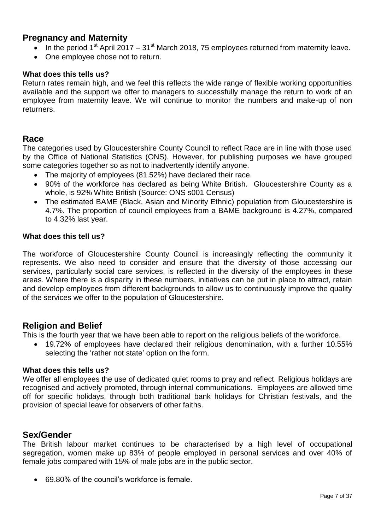#### **Pregnancy and Maternity**

- In the period 1<sup>st</sup> April 2017 31<sup>st</sup> March 2018, 75 employees returned from maternity leave.
- One employee chose not to return.

#### **What does this tells us?**

Return rates remain high, and we feel this reflects the wide range of flexible working opportunities available and the support we offer to managers to successfully manage the return to work of an employee from maternity leave. We will continue to monitor the numbers and make-up of non returners.

#### **Race**

The categories used by Gloucestershire County Council to reflect Race are in line with those used by the Office of National Statistics (ONS). However, for publishing purposes we have grouped some categories together so as not to inadvertently identify anyone.

- The majority of employees (81.52%) have declared their race.
- 90% of the workforce has declared as being White British. Gloucestershire County as a whole, is 92% White British (Source: ONS s001 Census)
- The estimated BAME (Black, Asian and Minority Ethnic) population from Gloucestershire is 4.7%. The proportion of council employees from a BAME background is 4.27%, compared to 4.32% last year.

#### **What does this tell us?**

The workforce of Gloucestershire County Council is increasingly reflecting the community it represents. We also need to consider and ensure that the diversity of those accessing our services, particularly social care services, is reflected in the diversity of the employees in these areas. Where there is a disparity in these numbers, initiatives can be put in place to attract, retain and develop employees from different backgrounds to allow us to continuously improve the quality of the services we offer to the population of Gloucestershire.

#### **Religion and Belief**

This is the fourth year that we have been able to report on the religious beliefs of the workforce.

 19.72% of employees have declared their religious denomination, with a further 10.55% selecting the 'rather not state' option on the form.

#### **What does this tells us?**

We offer all employees the use of dedicated quiet rooms to pray and reflect. Religious holidays are recognised and actively promoted, through internal communications. Employees are allowed time off for specific holidays, through both traditional bank holidays for Christian festivals, and the provision of special leave for observers of other faiths.

#### **Sex/Gender**

The British labour market continues to be characterised by a high level of occupational segregation, women make up 83% of people employed in personal services and over 40% of female jobs compared with 15% of male jobs are in the public sector.

69.80% of the council's workforce is female.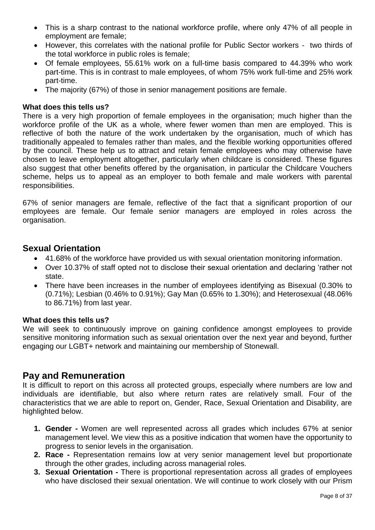- This is a sharp contrast to the national workforce profile, where only 47% of all people in employment are female;
- However, this correlates with the national profile for Public Sector workers two thirds of the total workforce in public roles is female;
- Of female employees, 55.61% work on a full-time basis compared to 44.39% who work part-time. This is in contrast to male employees, of whom 75% work full-time and 25% work part-time.
- The majority (67%) of those in senior management positions are female.

#### **What does this tells us?**

There is a very high proportion of female employees in the organisation; much higher than the workforce profile of the UK as a whole, where fewer women than men are employed. This is reflective of both the nature of the work undertaken by the organisation, much of which has traditionally appealed to females rather than males, and the flexible working opportunities offered by the council. These help us to attract and retain female employees who may otherwise have chosen to leave employment altogether, particularly when childcare is considered. These figures also suggest that other benefits offered by the organisation, in particular the Childcare Vouchers scheme, helps us to appeal as an employer to both female and male workers with parental responsibilities.

67% of senior managers are female, reflective of the fact that a significant proportion of our employees are female. Our female senior managers are employed in roles across the organisation.

#### **Sexual Orientation**

- 41.68% of the workforce have provided us with sexual orientation monitoring information.
- Over 10.37% of staff opted not to disclose their sexual orientation and declaring 'rather not state.
- There have been increases in the number of employees identifying as Bisexual (0.30% to (0.71%); Lesbian (0.46% to 0.91%); Gay Man (0.65% to 1.30%); and Heterosexual (48.06% to 86.71%) from last year.

#### **What does this tells us?**

We will seek to continuously improve on gaining confidence amongst employees to provide sensitive monitoring information such as sexual orientation over the next year and beyond, further engaging our LGBT+ network and maintaining our membership of Stonewall.

#### **Pay and Remuneration**

It is difficult to report on this across all protected groups, especially where numbers are low and individuals are identifiable, but also where return rates are relatively small. Four of the characteristics that we are able to report on, Gender, Race, Sexual Orientation and Disability, are highlighted below.

- **1. Gender -** Women are well represented across all grades which includes 67% at senior management level. We view this as a positive indication that women have the opportunity to progress to senior levels in the organisation.
- **2. Race -** Representation remains low at very senior management level but proportionate through the other grades, including across managerial roles.
- **3. Sexual Orientation -** There is proportional representation across all grades of employees who have disclosed their sexual orientation. We will continue to work closely with our Prism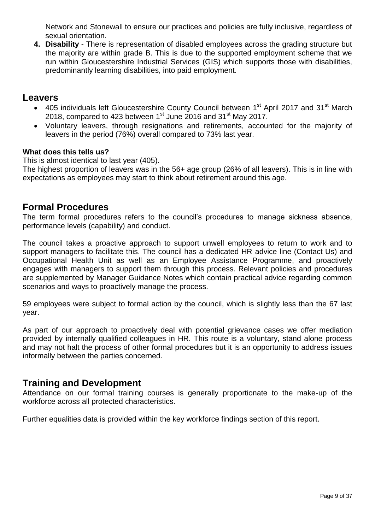Network and Stonewall to ensure our practices and policies are fully inclusive, regardless of sexual orientation.

**4. Disability** - There is representation of disabled employees across the grading structure but the majority are within grade B. This is due to the supported employment scheme that we run within Gloucestershire Industrial Services (GIS) which supports those with disabilities, predominantly learning disabilities, into paid employment.

#### **Leavers**

- 405 individuals left Gloucestershire County Council between 1<sup>st</sup> April 2017 and 31<sup>st</sup> March 2018, compared to 423 between  $1<sup>st</sup>$  June 2016 and 31 $<sup>st</sup>$  May 2017.</sup>
- Voluntary leavers, through resignations and retirements, accounted for the majority of leavers in the period (76%) overall compared to 73% last year.

#### **What does this tells us?**

This is almost identical to last year (405).

The highest proportion of leavers was in the 56+ age group (26% of all leavers). This is in line with expectations as employees may start to think about retirement around this age.

#### **Formal Procedures**

The term formal procedures refers to the council's procedures to manage sickness absence, performance levels (capability) and conduct.

The council takes a proactive approach to support unwell employees to return to work and to support managers to facilitate this. The council has a dedicated HR advice line (Contact Us) and Occupational Health Unit as well as an Employee Assistance Programme, and proactively engages with managers to support them through this process. Relevant policies and procedures are supplemented by Manager Guidance Notes which contain practical advice regarding common scenarios and ways to proactively manage the process.

59 employees were subject to formal action by the council, which is slightly less than the 67 last year.

As part of our approach to proactively deal with potential grievance cases we offer mediation provided by internally qualified colleagues in HR. This route is a voluntary, stand alone process and may not halt the process of other formal procedures but it is an opportunity to address issues informally between the parties concerned.

### **Training and Development**

Attendance on our formal training courses is generally proportionate to the make-up of the workforce across all protected characteristics.

Further equalities data is provided within the key workforce findings section of this report.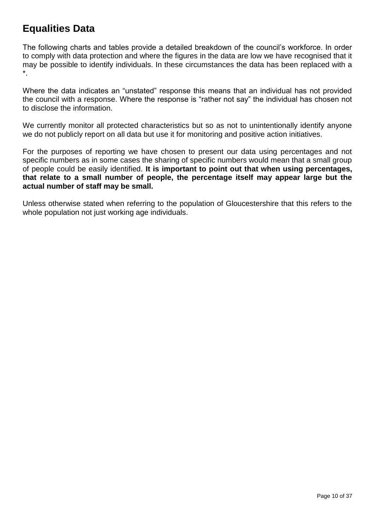## **Equalities Data**

The following charts and tables provide a detailed breakdown of the council's workforce. In order to comply with data protection and where the figures in the data are low we have recognised that it may be possible to identify individuals. In these circumstances the data has been replaced with a \*.

Where the data indicates an "unstated" response this means that an individual has not provided the council with a response. Where the response is "rather not say" the individual has chosen not to disclose the information.

We currently monitor all protected characteristics but so as not to unintentionally identify anyone we do not publicly report on all data but use it for monitoring and positive action initiatives.

For the purposes of reporting we have chosen to present our data using percentages and not specific numbers as in some cases the sharing of specific numbers would mean that a small group of people could be easily identified. **It is important to point out that when using percentages, that relate to a small number of people, the percentage itself may appear large but the actual number of staff may be small.**

Unless otherwise stated when referring to the population of Gloucestershire that this refers to the whole population not just working age individuals.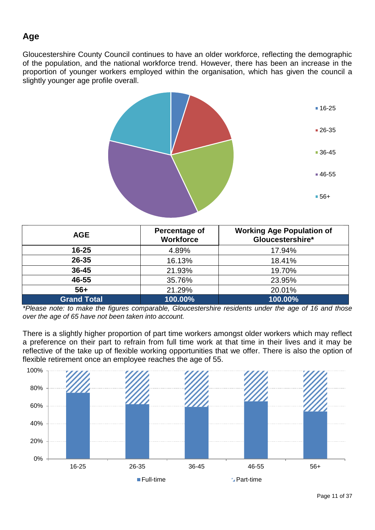## **Age**

Gloucestershire County Council continues to have an older workforce, reflecting the demographic of the population, and the national workforce trend. However, there has been an increase in the proportion of younger workers employed within the organisation, which has given the council a slightly younger age profile overall.



| <b>AGE</b>         | Percentage of<br><b>Workforce</b> | <b>Working Age Population of</b><br>Gloucestershire* |
|--------------------|-----------------------------------|------------------------------------------------------|
| $16 - 25$          | 4.89%                             | 17.94%                                               |
| $26 - 35$          | 16.13%                            | 18.41%                                               |
| $36 - 45$          | 21.93%                            | 19.70%                                               |
| 46-55              | 35.76%                            | 23.95%                                               |
| $56+$              | 21.29%                            | 20.01%                                               |
| <b>Grand Total</b> | 100.00%                           | 100.00%                                              |

*\*Please note: to make the figures comparable, Gloucestershire residents under the age of 16 and those over the age of 65 have not been taken into account.*

There is a slightly higher proportion of part time workers amongst older workers which may reflect a preference on their part to refrain from full time work at that time in their lives and it may be reflective of the take up of flexible working opportunities that we offer. There is also the option of flexible retirement once an employee reaches the age of 55.

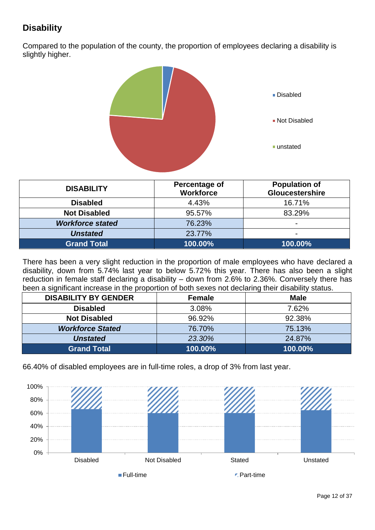## **Disability**

Compared to the population of the county, the proportion of employees declaring a disability is slightly higher.



| <b>DISABILITY</b>       | Percentage of<br><b>Workforce</b> | <b>Population of</b><br>Gloucestershire |
|-------------------------|-----------------------------------|-----------------------------------------|
| <b>Disabled</b>         | 4.43%                             | 16.71%                                  |
| <b>Not Disabled</b>     | 95.57%                            | 83.29%                                  |
| <b>Workforce stated</b> | 76.23%                            | $\blacksquare$                          |
| <b>Unstated</b>         | 23.77%                            | $\overline{\phantom{0}}$                |
| Grand Total             | 100.00%                           | 100.00%                                 |

There has been a very slight reduction in the proportion of male employees who have declared a disability, down from 5.74% last year to below 5.72% this year. There has also been a slight reduction in female staff declaring a disability – down from 2.6% to 2.36%. Conversely there has been a significant increase in the proportion of both sexes not declaring their disability status.

| <b>DISABILITY BY GENDER</b> | <b>Female</b> | <b>Male</b> |
|-----------------------------|---------------|-------------|
| <b>Disabled</b>             | 3.08%         | 7.62%       |
| <b>Not Disabled</b>         | 96.92%        | 92.38%      |
| <b>Workforce Stated</b>     | 76.70%        | 75.13%      |
| <b>Unstated</b>             | 23.30%        | 24.87%      |
| <b>Grand Total</b>          | 100.00%       | 100.00%     |

66.40% of disabled employees are in full-time roles, a drop of 3% from last year.

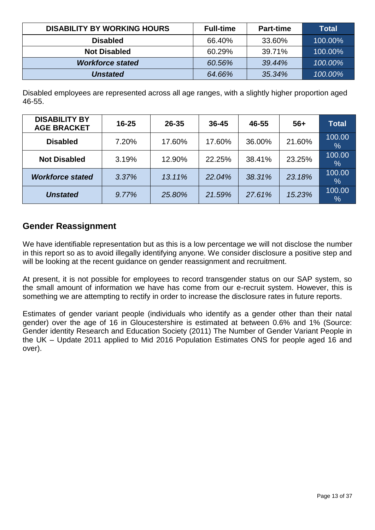| <b>DISABILITY BY WORKING HOURS</b> | <b>Full-time</b> | <b>Part-time</b> | <b>Total</b> |
|------------------------------------|------------------|------------------|--------------|
| <b>Disabled</b>                    | 66.40%           | 33.60%           | 100.00%      |
| <b>Not Disabled</b>                | 60.29%           | 39.71%           | 100.00%      |
| <b>Workforce stated</b>            | 60.56%           | 39.44%           | 100.00%      |
| <b>Unstated</b>                    | 64.66%           | 35.34%           | 100.00%      |

Disabled employees are represented across all age ranges, with a slightly higher proportion aged 46-55.

| <b>DISABILITY BY</b><br><b>AGE BRACKET</b> | $16 - 25$ | $26 - 35$ | 36-45  | 46-55  | $56+$  | <b>Total</b>            |
|--------------------------------------------|-----------|-----------|--------|--------|--------|-------------------------|
| <b>Disabled</b>                            | 7.20%     | 17.60%    | 17.60% | 36.00% | 21.60% | 100.00<br>$\%$          |
| <b>Not Disabled</b>                        | 3.19%     | 12.90%    | 22.25% | 38.41% | 23.25% | 100.00<br>%             |
| <b>Workforce stated</b>                    | 3.37%     | 13.11%    | 22.04% | 38.31% | 23.18% | 100.00<br>$\frac{1}{2}$ |
| <b>Unstated</b>                            | 9.77%     | 25.80%    | 21.59% | 27.61% | 15.23% | 100.00<br>$\sqrt{6}$    |

### **Gender Reassignment**

We have identifiable representation but as this is a low percentage we will not disclose the number in this report so as to avoid illegally identifying anyone. We consider disclosure a positive step and will be looking at the recent guidance on gender reassignment and recruitment.

At present, it is not possible for employees to record transgender status on our SAP system, so the small amount of information we have has come from our e-recruit system. However, this is something we are attempting to rectify in order to increase the disclosure rates in future reports.

Estimates of gender variant people (individuals who identify as a gender other than their natal gender) over the age of 16 in Gloucestershire is estimated at between 0.6% and 1% (Source: Gender identity Research and Education Society (2011) The Number of Gender Variant People in the UK – Update 2011 applied to Mid 2016 Population Estimates ONS for people aged 16 and over).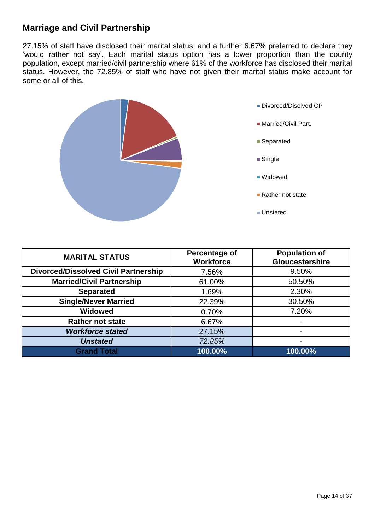### **Marriage and Civil Partnership**

27.15% of staff have disclosed their marital status, and a further 6.67% preferred to declare they 'would rather not say'. Each marital status option has a lower proportion than the county population, except married/civil partnership where 61% of the workforce has disclosed their marital status. However, the 72.85% of staff who have not given their marital status make account for some or all of this.



Divorced/Disolved CP

- Married/Civil Part.
- Separated
- Single
- Widowed
- Rather not state
- Unstated

| <b>MARITAL STATUS</b>                       | Percentage of<br><b>Workforce</b> | <b>Population of</b><br>Gloucestershire |
|---------------------------------------------|-----------------------------------|-----------------------------------------|
| <b>Divorced/Dissolved Civil Partnership</b> | 7.56%                             | 9.50%                                   |
| <b>Married/Civil Partnership</b>            | 61.00%                            | 50.50%                                  |
| <b>Separated</b>                            | 1.69%                             | 2.30%                                   |
| <b>Single/Never Married</b>                 | 22.39%                            | 30.50%                                  |
| <b>Widowed</b>                              | 0.70%                             | 7.20%                                   |
| <b>Rather not state</b>                     | 6.67%                             |                                         |
| <b>Workforce stated</b>                     | 27.15%                            | -                                       |
| <b>Unstated</b>                             | 72.85%                            |                                         |
| <b>Grand Total</b>                          | 100.00%                           | 100.00%                                 |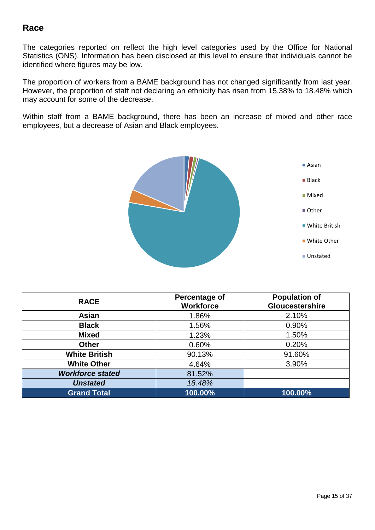### **Race**

The categories reported on reflect the high level categories used by the Office for National Statistics (ONS). Information has been disclosed at this level to ensure that individuals cannot be identified where figures may be low.

The proportion of workers from a BAME background has not changed significantly from last year. However, the proportion of staff not declaring an ethnicity has risen from 15.38% to 18.48% which may account for some of the decrease.

Within staff from a BAME background, there has been an increase of mixed and other race employees, but a decrease of Asian and Black employees.



| <b>RACE</b>             | <b>Percentage of</b><br><b>Workforce</b> | <b>Population of</b><br><b>Gloucestershire</b> |
|-------------------------|------------------------------------------|------------------------------------------------|
| Asian                   | 1.86%                                    | 2.10%                                          |
| <b>Black</b>            | 1.56%                                    | 0.90%                                          |
| <b>Mixed</b>            | 1.23%                                    | 1.50%                                          |
| <b>Other</b>            | 0.60%                                    | 0.20%                                          |
| <b>White British</b>    | 90.13%                                   | 91.60%                                         |
| <b>White Other</b>      | 4.64%                                    | 3.90%                                          |
| <b>Workforce stated</b> | 81.52%                                   |                                                |
| <b>Unstated</b>         | 18.48%                                   |                                                |
| <b>Grand Total</b>      | 100.00%                                  | 100.00%                                        |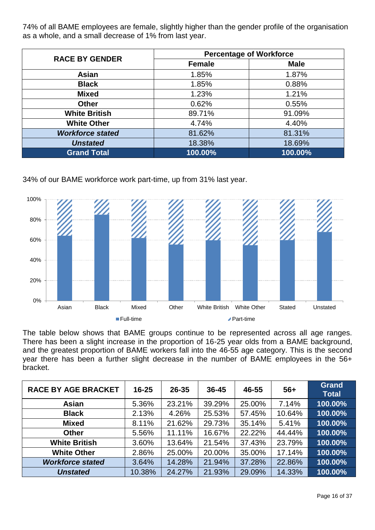74% of all BAME employees are female, slightly higher than the gender profile of the organisation as a whole, and a small decrease of 1% from last year.

| <b>RACE BY GENDER</b>   | <b>Percentage of Workforce</b> |             |  |  |
|-------------------------|--------------------------------|-------------|--|--|
|                         | <b>Female</b>                  | <b>Male</b> |  |  |
| Asian                   | 1.85%                          | 1.87%       |  |  |
| <b>Black</b>            | 1.85%                          | 0.88%       |  |  |
| <b>Mixed</b>            | 1.23%                          | 1.21%       |  |  |
| <b>Other</b>            | 0.62%                          | 0.55%       |  |  |
| <b>White British</b>    | 89.71%                         | 91.09%      |  |  |
| <b>White Other</b>      | 4.74%                          | 4.40%       |  |  |
| <b>Workforce stated</b> | 81.62%                         | 81.31%      |  |  |
| <b>Unstated</b>         | 18.38%                         | 18.69%      |  |  |
| <b>Grand Total</b>      | 100.00%                        | 100.00%     |  |  |

34% of our BAME workforce work part-time, up from 31% last year.



The table below shows that BAME groups continue to be represented across all age ranges. There has been a slight increase in the proportion of 16-25 year olds from a BAME background, and the greatest proportion of BAME workers fall into the 46-55 age category. This is the second year there has been a further slight decrease in the number of BAME employees in the 56+ bracket.

| <b>RACE BY AGE BRACKET</b> | $16 - 25$ | $26 - 35$ | $36 - 45$ | 46-55  | $56+$  | <b>Grand</b><br><b>Total</b> |
|----------------------------|-----------|-----------|-----------|--------|--------|------------------------------|
| Asian                      | 5.36%     | 23.21%    | 39.29%    | 25.00% | 7.14%  | 100.00%                      |
| <b>Black</b>               | 2.13%     | 4.26%     | 25.53%    | 57.45% | 10.64% | 100.00%                      |
| <b>Mixed</b>               | 8.11%     | 21.62%    | 29.73%    | 35.14% | 5.41%  | 100.00%                      |
| <b>Other</b>               | 5.56%     | 11.11%    | 16.67%    | 22.22% | 44.44% | 100.00%                      |
| <b>White British</b>       | 3.60%     | 13.64%    | 21.54%    | 37.43% | 23.79% | 100.00%                      |
| <b>White Other</b>         | 2.86%     | 25.00%    | 20.00%    | 35.00% | 17.14% | 100.00%                      |
| <b>Workforce stated</b>    | 3.64%     | 14.28%    | 21.94%    | 37.28% | 22.86% | 100.00%                      |
| <b>Unstated</b>            | 10.38%    | 24.27%    | 21.93%    | 29.09% | 14.33% | 100.00%                      |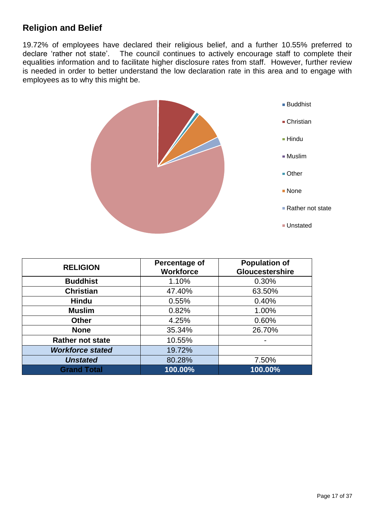## **Religion and Belief**

19.72% of employees have declared their religious belief, and a further 10.55% preferred to declare 'rather not state'. The council continues to actively encourage staff to complete their equalities information and to facilitate higher disclosure rates from staff. However, further review is needed in order to better understand the low declaration rate in this area and to engage with employees as to why this might be.



| <b>RELIGION</b>         | Percentage of<br><b>Workforce</b> | <b>Population of</b><br><b>Gloucestershire</b> |
|-------------------------|-----------------------------------|------------------------------------------------|
| <b>Buddhist</b>         | 1.10%                             | 0.30%                                          |
| <b>Christian</b>        | 47.40%                            | 63.50%                                         |
| <b>Hindu</b>            | 0.55%                             | 0.40%                                          |
| <b>Muslim</b>           | 0.82%                             | 1.00%                                          |
| <b>Other</b>            | 4.25%                             | 0.60%                                          |
| <b>None</b>             | 35.34%                            | 26.70%                                         |
| <b>Rather not state</b> | 10.55%                            |                                                |
| <b>Workforce stated</b> | 19.72%                            |                                                |
| <b>Unstated</b>         | 80.28%                            | 7.50%                                          |
| <b>Grand Total</b>      | 100.00%                           | 100.00%                                        |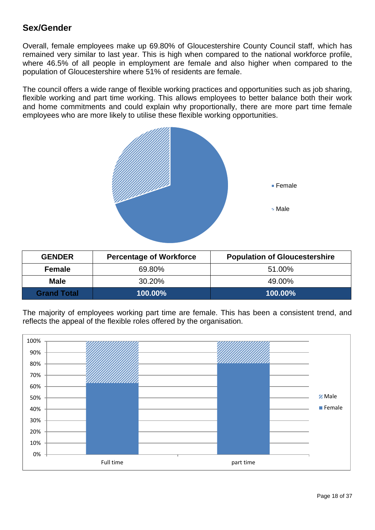### **Sex/Gender**

Overall, female employees make up 69.80% of Gloucestershire County Council staff, which has remained very similar to last year. This is high when compared to the national workforce profile, where 46.5% of all people in employment are female and also higher when compared to the population of Gloucestershire where 51% of residents are female.

The council offers a wide range of flexible working practices and opportunities such as job sharing, flexible working and part time working. This allows employees to better balance both their work and home commitments and could explain why proportionally, there are more part time female employees who are more likely to utilise these flexible working opportunities.



| <b>GENDER</b>      | <b>Percentage of Workforce</b> | <b>Population of Gloucestershire</b> |
|--------------------|--------------------------------|--------------------------------------|
| <b>Female</b>      | 69.80%                         | 51.00%                               |
| <b>Male</b>        | 30.20%                         | 49.00%                               |
| <b>Grand Total</b> | 100.00%                        | 100.00%                              |

The majority of employees working part time are female. This has been a consistent trend, and reflects the appeal of the flexible roles offered by the organisation.

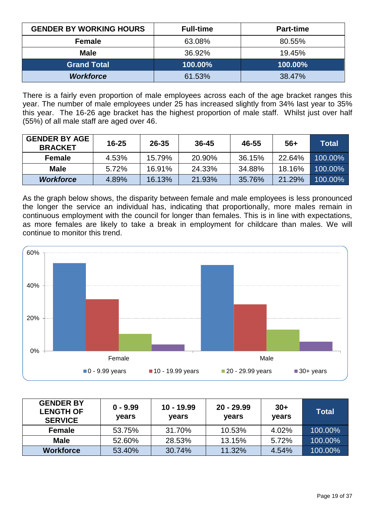| <b>GENDER BY WORKING HOURS</b> | <b>Full-time</b> | <b>Part-time</b> |
|--------------------------------|------------------|------------------|
| <b>Female</b>                  | 63.08%           | 80.55%           |
| <b>Male</b>                    | 36.92%           | 19.45%           |
| <b>Grand Total</b>             | 100.00%          | 100.00%          |
| <b>Workforce</b>               | 61.53%           | 38.47%           |

There is a fairly even proportion of male employees across each of the age bracket ranges this year. The number of male employees under 25 has increased slightly from 34% last year to 35% this year. The 16-26 age bracket has the highest proportion of male staff. Whilst just over half (55%) of all male staff are aged over 46.

| <b>GENDER BY AGE</b><br><b>BRACKET</b> | $16 - 25$ | $26 - 35$ | $36 - 45$ | 46-55  | 56+    | Total   |
|----------------------------------------|-----------|-----------|-----------|--------|--------|---------|
| <b>Female</b>                          | 4.53%     | 15.79%    | 20.90%    | 36.15% | 22.64% | 100.00% |
| <b>Male</b>                            | 5.72%     | 16.91%    | 24.33%    | 34.88% | 18.16% | 100.00% |
| <b>Workforce</b>                       | 4.89%     | 16.13%    | 21.93%    | 35.76% | 21.29% | 100.00% |

As the graph below shows, the disparity between female and male employees is less pronounced the longer the service an individual has, indicating that proportionally, more males remain in continuous employment with the council for longer than females. This is in line with expectations, as more females are likely to take a break in employment for childcare than males. We will continue to monitor this trend.



| <b>GENDER BY</b><br><b>LENGTH OF</b><br><b>SERVICE</b> | $0 - 9.99$<br>years | $10 - 19.99$<br>years | $20 - 29.99$<br>years | $30+$<br>years | Total   |
|--------------------------------------------------------|---------------------|-----------------------|-----------------------|----------------|---------|
| <b>Female</b>                                          | 53.75%              | 31.70%                | 10.53%                | 4.02%          | 100.00% |
| <b>Male</b>                                            | 52.60%              | 28.53%                | 13.15%                | 5.72%          | 100.00% |
| <b>Workforce</b>                                       | 53.40%              | 30.74%                | 11.32%                | 4.54%          | 100.00% |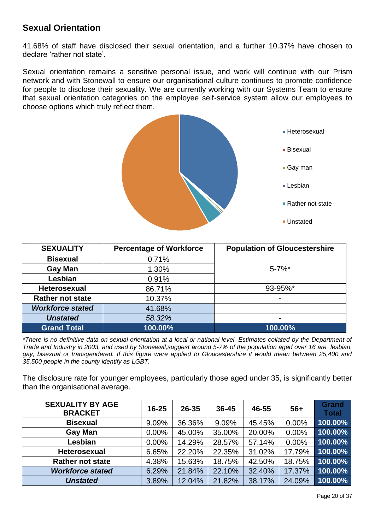### **Sexual Orientation**

41.68% of staff have disclosed their sexual orientation, and a further 10.37% have chosen to declare 'rather not state'.

Sexual orientation remains a sensitive personal issue, and work will continue with our Prism network and with Stonewall to ensure our organisational culture continues to promote confidence for people to disclose their sexuality. We are currently working with our Systems Team to ensure that sexual orientation categories on the employee self-service system allow our employees to choose options which truly reflect them.



| <b>SEXUALITY</b>        | <b>Percentage of Workforce</b> | <b>Population of Gloucestershire</b> |
|-------------------------|--------------------------------|--------------------------------------|
| <b>Bisexual</b>         | 0.71%                          |                                      |
| <b>Gay Man</b>          | 1.30%                          | $5 - 7%$ *                           |
| Lesbian                 | 0.91%                          |                                      |
| <b>Heterosexual</b>     | 86.71%                         | 93-95%*                              |
| <b>Rather not state</b> | 10.37%                         |                                      |
| <b>Workforce stated</b> | 41.68%                         |                                      |
| <b>Unstated</b>         | 58.32%                         | ۰                                    |
| <b>Grand Total</b>      | 100.00%                        | 100.00%                              |

*\*There is no definitive data on sexual orientation at a local or national level. Estimates collated by the Department of Trade and Industry in 2003, and used by Stonewall,suggest around 5-7% of the population aged over 16 are lesbian, gay, bisexual or transgendered. If this figure were applied to Gloucestershire it would mean between 25,400 and 35,500 people in the county identify as LGBT.* 

The disclosure rate for younger employees, particularly those aged under 35, is significantly better than the organisational average.

| <b>SEXUALITY BY AGE</b><br><b>BRACKET</b> | $16 - 25$ | 26-35  | $36 - 45$ | 46-55  | $56+$  | <b>Grand</b><br><b>Total</b> |
|-------------------------------------------|-----------|--------|-----------|--------|--------|------------------------------|
| <b>Bisexual</b>                           | 9.09%     | 36.36% | 9.09%     | 45.45% | 0.00%  | 100.00%                      |
| <b>Gay Man</b>                            | 0.00%     | 45.00% | 35.00%    | 20.00% | 0.00%  | 100.00%                      |
| Lesbian                                   | $0.00\%$  | 14.29% | 28.57%    | 57.14% | 0.00%  | 100.00%                      |
| Heterosexual                              | 6.65%     | 22.20% | 22.35%    | 31.02% | 17.79% | 100.00%                      |
| <b>Rather not state</b>                   | 4.38%     | 15.63% | 18.75%    | 42.50% | 18.75% | 100.00%                      |
| <b>Workforce stated</b>                   | 6.29%     | 21.84% | 22.10%    | 32.40% | 17.37% | 100.00%                      |
| <b>Unstated</b>                           | 3.89%     | 12.04% | 21.82%    | 38.17% | 24.09% | 100.00%                      |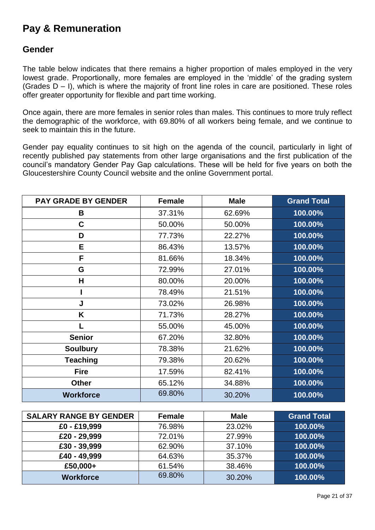## **Pay & Remuneration**

#### **Gender**

The table below indicates that there remains a higher proportion of males employed in the very lowest grade. Proportionally, more females are employed in the 'middle' of the grading system (Grades D – I), which is where the majority of front line roles in care are positioned. These roles offer greater opportunity for flexible and part time working.

Once again, there are more females in senior roles than males. This continues to more truly reflect the demographic of the workforce, with 69.80% of all workers being female, and we continue to seek to maintain this in the future.

Gender pay equality continues to sit high on the agenda of the council, particularly in light of recently published pay statements from other large organisations and the first publication of the council's mandatory Gender Pay Gap calculations. These will be held for five years on both the Gloucestershire County Council website and the online Government portal.

| <b>PAY GRADE BY GENDER</b> | <b>Female</b> | <b>Male</b> | <b>Grand Total</b> |
|----------------------------|---------------|-------------|--------------------|
| B                          | 37.31%        | 62.69%      | 100.00%            |
| C                          | 50.00%        | 50.00%      | 100.00%            |
| D                          | 77.73%        | 22.27%      | 100.00%            |
| E.                         | 86.43%        | 13.57%      | 100.00%            |
| F                          | 81.66%        | 18.34%      | 100.00%            |
| G                          | 72.99%        | 27.01%      | 100.00%            |
| н                          | 80.00%        | 20.00%      | 100.00%            |
|                            | 78.49%        | 21.51%      | 100.00%            |
| J                          | 73.02%        | 26.98%      | 100.00%            |
| K                          | 71.73%        | 28.27%      | 100.00%            |
|                            | 55.00%        | 45.00%      | 100.00%            |
| <b>Senior</b>              | 67.20%        | 32.80%      | 100.00%            |
| <b>Soulbury</b>            | 78.38%        | 21.62%      | 100.00%            |
| <b>Teaching</b>            | 79.38%        | 20.62%      | 100.00%            |
| <b>Fire</b>                | 17.59%        | 82.41%      | 100.00%            |
| <b>Other</b>               | 65.12%        | 34.88%      | 100.00%            |
| <b>Workforce</b>           | 69.80%        | 30.20%      | 100.00%            |

| <b>SALARY RANGE BY GENDER</b> | <b>Female</b> | <b>Male</b> | <b>Grand Total</b> |
|-------------------------------|---------------|-------------|--------------------|
| £0 - £19,999                  | 76.98%        | 23.02%      | 100.00%            |
| £20 - 29,999                  | 72.01%        | 27.99%      | 100.00%            |
| £30 - 39,999                  | 62.90%        | 37.10%      | 100.00%            |
| £40 - 49,999                  | 64.63%        | 35.37%      | 100.00%            |
| £50,000+                      | 61.54%        | 38.46%      | 100.00%            |
| <b>Workforce</b>              | 69.80%        | 30.20%      | 100.00%            |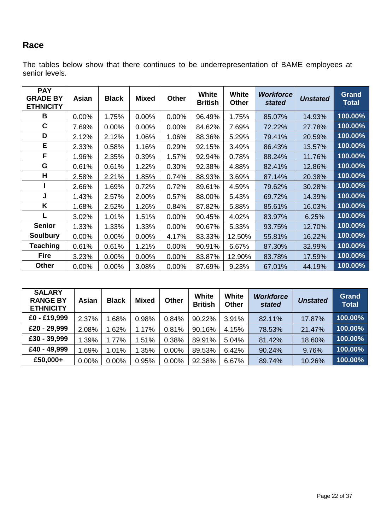## **Race**

The tables below show that there continues to be underrepresentation of BAME employees at senior levels.

| <b>PAY</b><br><b>GRADE BY</b><br><b>ETHNICITY</b> | Asian    | <b>Black</b> | <b>Mixed</b> | <b>Other</b> | <b>White</b><br><b>British</b> | White<br><b>Other</b> | <b>Workforce</b><br>stated | <b>Unstated</b> | <b>Grand</b><br><b>Total</b> |
|---------------------------------------------------|----------|--------------|--------------|--------------|--------------------------------|-----------------------|----------------------------|-----------------|------------------------------|
| B                                                 | 0.00%    | 1.75%        | 0.00%        | 0.00%        | 96.49%                         | 1.75%                 | 85.07%                     | 14.93%          | 100.00%                      |
| C                                                 | 7.69%    | 0.00%        | 0.00%        | 0.00%        | 84.62%                         | 7.69%                 | 72.22%                     | 27.78%          | 100.00%                      |
| D                                                 | 2.12%    | 2.12%        | 1.06%        | 1.06%        | 88.36%                         | 5.29%                 | 79.41%                     | 20.59%          | 100.00%                      |
| E                                                 | 2.33%    | 0.58%        | 1.16%        | 0.29%        | 92.15%                         | 3.49%                 | 86.43%                     | 13.57%          | 100.00%                      |
| F                                                 | 1.96%    | 2.35%        | 0.39%        | 1.57%        | 92.94%                         | 0.78%                 | 88.24%                     | 11.76%          | 100.00%                      |
| G                                                 | 0.61%    | 0.61%        | 1.22%        | 0.30%        | 92.38%                         | 4.88%                 | 82.41%                     | 12.86%          | 100.00%                      |
| H                                                 | 2.58%    | 2.21%        | 1.85%        | 0.74%        | 88.93%                         | 3.69%                 | 87.14%                     | 20.38%          | 100.00%                      |
|                                                   | 2.66%    | 1.69%        | 0.72%        | 0.72%        | 89.61%                         | 4.59%                 | 79.62%                     | 30.28%          | 100.00%                      |
| J                                                 | 1.43%    | 2.57%        | 2.00%        | 0.57%        | 88.00%                         | 5.43%                 | 69.72%                     | 14.39%          | 100.00%                      |
| K                                                 | 1.68%    | 2.52%        | 1.26%        | 0.84%        | 87.82%                         | 5.88%                 | 85.61%                     | 16.03%          | 100.00%                      |
|                                                   | 3.02%    | 1.01%        | 1.51%        | 0.00%        | 90.45%                         | 4.02%                 | 83.97%                     | 6.25%           | 100.00%                      |
| <b>Senior</b>                                     | 1.33%    | 1.33%        | 1.33%        | 0.00%        | 90.67%                         | 5.33%                 | 93.75%                     | 12.70%          | 100.00%                      |
| <b>Soulbury</b>                                   | 0.00%    | 0.00%        | 0.00%        | 4.17%        | 83.33%                         | 12.50%                | 55.81%                     | 16.22%          | 100.00%                      |
| <b>Teaching</b>                                   | 0.61%    | 0.61%        | 1.21%        | 0.00%        | 90.91%                         | 6.67%                 | 87.30%                     | 32.99%          | 100.00%                      |
| <b>Fire</b>                                       | 3.23%    | 0.00%        | 0.00%        | 0.00%        | 83.87%                         | 12.90%                | 83.78%                     | 17.59%          | 100.00%                      |
| Other                                             | $0.00\%$ | 0.00%        | 3.08%        | 0.00%        | 87.69%                         | 9.23%                 | 67.01%                     | 44.19%          | 100.00%                      |

| <b>SALARY</b><br><b>RANGE BY</b><br><b>ETHNICITY</b> | Asian | <b>Black</b> | <b>Mixed</b> | <b>Other</b> | <b>White</b><br><b>British</b> | <b>White</b><br><b>Other</b> | <b>Workforce</b><br>stated | <b>Unstated</b> | <b>Grand</b><br><b>Total</b> |
|------------------------------------------------------|-------|--------------|--------------|--------------|--------------------------------|------------------------------|----------------------------|-----------------|------------------------------|
| £0 - £19,999                                         | 2.37% | .68%         | 0.98%        | 0.84%        | 90.22%                         | 3.91%                        | 82.11%                     | 17.87%          | 100.00%                      |
| £20 - 29,999                                         | 2.08% | 1.62%        | 1.17%        | 0.81%        | 90.16%                         | 4.15%                        | 78.53%                     | 21.47%          | 100.00%                      |
| £30 - 39,999                                         | 1.39% | 1.77%        | 1.51%        | 0.38%        | 89.91%                         | 5.04%                        | 81.42%                     | 18.60%          | 100.00%                      |
| £40 - 49,999                                         | 1.69% | 1.01%        | 1.35%        | 0.00%        | 89.53%                         | 6.42%                        | 90.24%                     | 9.76%           | 100.00%                      |
| £50,000+                                             | 0.00% | 0.00%        | 0.95%        | 0.00%        | 92.38%                         | 6.67%                        | 89.74%                     | 10.26%          | 100.00%                      |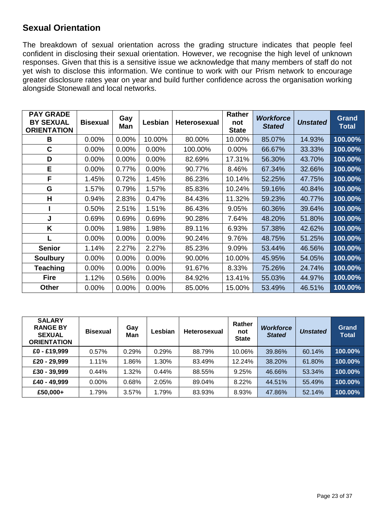### **Sexual Orientation**

The breakdown of sexual orientation across the grading structure indicates that people feel confident in disclosing their sexual orientation. However, we recognise the high level of unknown responses. Given that this is a sensitive issue we acknowledge that many members of staff do not yet wish to disclose this information. We continue to work with our Prism network to encourage greater disclosure rates year on year and build further confidence across the organisation working alongside Stonewall and local networks.

| <b>PAY GRADE</b><br><b>BY SEXUAL</b><br><b>ORIENTATION</b> | <b>Bisexual</b> | Gay<br>Man | Lesbian | Heterosexual | <b>Rather</b><br>not<br><b>State</b> | <b>Workforce</b><br><b>Stated</b> | <b>Unstated</b> | <b>Grand</b><br><b>Total</b> |
|------------------------------------------------------------|-----------------|------------|---------|--------------|--------------------------------------|-----------------------------------|-----------------|------------------------------|
| В                                                          | 0.00%           | 0.00%      | 10.00%  | 80.00%       | 10.00%                               | 85.07%                            | 14.93%          | 100.00%                      |
| $\mathbf c$                                                | 0.00%           | 0.00%      | 0.00%   | 100.00%      | 0.00%                                | 66.67%                            | 33.33%          | 100.00%                      |
| D                                                          | 0.00%           | 0.00%      | 0.00%   | 82.69%       | 17.31%                               | 56.30%                            | 43.70%          | 100.00%                      |
| E                                                          | 0.00%           | 0.77%      | 0.00%   | 90.77%       | 8.46%                                | 67.34%                            | 32.66%          | 100.00%                      |
| F                                                          | 1.45%           | 0.72%      | 1.45%   | 86.23%       | 10.14%                               | 52.25%                            | 47.75%          | 100.00%                      |
| G                                                          | 1.57%           | 0.79%      | 1.57%   | 85.83%       | 10.24%                               | 59.16%                            | 40.84%          | 100.00%                      |
| Н                                                          | 0.94%           | 2.83%      | 0.47%   | 84.43%       | 11.32%                               | 59.23%                            | 40.77%          | 100.00%                      |
|                                                            | 0.50%           | 2.51%      | 1.51%   | 86.43%       | 9.05%                                | 60.36%                            | 39.64%          | 100.00%                      |
| J                                                          | 0.69%           | 0.69%      | 0.69%   | 90.28%       | 7.64%                                | 48.20%                            | 51.80%          | 100.00%                      |
| K                                                          | 0.00%           | 1.98%      | 1.98%   | 89.11%       | 6.93%                                | 57.38%                            | 42.62%          | 100.00%                      |
|                                                            | 0.00%           | 0.00%      | 0.00%   | 90.24%       | 9.76%                                | 48.75%                            | 51.25%          | 100.00%                      |
| <b>Senior</b>                                              | 1.14%           | 2.27%      | 2.27%   | 85.23%       | 9.09%                                | 53.44%                            | 46.56%          | 100.00%                      |
| <b>Soulbury</b>                                            | 0.00%           | 0.00%      | 0.00%   | 90.00%       | 10.00%                               | 45.95%                            | 54.05%          | 100.00%                      |
| <b>Teaching</b>                                            | 0.00%           | 0.00%      | 0.00%   | 91.67%       | 8.33%                                | 75.26%                            | 24.74%          | 100.00%                      |
| <b>Fire</b>                                                | 1.12%           | 0.56%      | 0.00%   | 84.92%       | 13.41%                               | 55.03%                            | 44.97%          | 100.00%                      |
| Other                                                      | 0.00%           | 0.00%      | 0.00%   | 85.00%       | 15.00%                               | 53.49%                            | 46.51%          | 100.00%                      |

| <b>SALARY</b><br><b>RANGE BY</b><br><b>SEXUAL</b><br><b>ORIENTATION</b> | <b>Bisexual</b> | Gay<br>Man | Lesbian | <b>Heterosexual</b> | Rather<br>not<br><b>State</b> | <b>Workforce</b><br><b>Stated</b> | <b>Unstated</b> | Grand<br><b>Total</b> |
|-------------------------------------------------------------------------|-----------------|------------|---------|---------------------|-------------------------------|-----------------------------------|-----------------|-----------------------|
| £0 - £19,999                                                            | 0.57%           | 0.29%      | 0.29%   | 88.79%              | 10.06%                        | 39.86%                            | 60.14%          | 100.00%               |
| £20 - 29,999                                                            | 1.11%           | 1.86%      | 1.30%   | 83.49%              | 12.24%                        | 38.20%                            | 61.80%          | 100.00%               |
| £30 - 39,999                                                            | 0.44%           | 1.32%      | 0.44%   | 88.55%              | 9.25%                         | 46.66%                            | 53.34%          | 100.00%               |
| £40 - 49,999                                                            | 0.00%           | 0.68%      | 2.05%   | 89.04%              | 8.22%                         | 44.51%                            | 55.49%          | 100.00%               |
| £50,000+                                                                | 1.79%           | 3.57%      | 1.79%   | 83.93%              | 8.93%                         | 47.86%                            | 52.14%          | 100.00%               |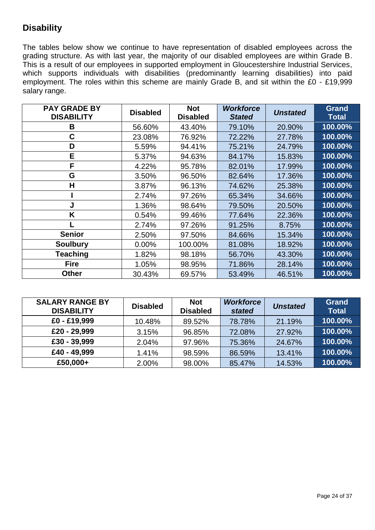## **Disability**

The tables below show we continue to have representation of disabled employees across the grading structure. As with last year, the majority of our disabled employees are within Grade B. This is a result of our employees in supported employment in Gloucestershire Industrial Services, which supports individuals with disabilities (predominantly learning disabilities) into paid employment. The roles within this scheme are mainly Grade B, and sit within the £0 - £19,999 salary range.

| <b>PAY GRADE BY</b><br><b>DISABILITY</b> | <b>Disabled</b> | <b>Not</b><br><b>Disabled</b> | <b>Workforce</b><br><b>Stated</b> | <b>Unstated</b> | <b>Grand</b><br><b>Total</b> |
|------------------------------------------|-----------------|-------------------------------|-----------------------------------|-----------------|------------------------------|
| B                                        | 56.60%          | 43.40%                        | 79.10%                            | 20.90%          | 100.00%                      |
| С                                        | 23.08%          | 76.92%                        | 72.22%                            | 27.78%          | 100.00%                      |
| D                                        | 5.59%           | 94.41%                        | 75.21%                            | 24.79%          | 100.00%                      |
| E.                                       | 5.37%           | 94.63%                        | 84.17%                            | 15.83%          | 100.00%                      |
| F                                        | 4.22%           | 95.78%                        | 82.01%                            | 17.99%          | 100.00%                      |
| G                                        | 3.50%           | 96.50%                        | 82.64%                            | 17.36%          | 100.00%                      |
| Н                                        | 3.87%           | 96.13%                        | 74.62%                            | 25.38%          | 100.00%                      |
|                                          | 2.74%           | 97.26%                        | 65.34%                            | 34.66%          | 100.00%                      |
| J                                        | 1.36%           | 98.64%                        | 79.50%                            | 20.50%          | 100.00%                      |
| K                                        | 0.54%           | 99.46%                        | 77.64%                            | 22.36%          | 100.00%                      |
|                                          | 2.74%           | 97.26%                        | 91.25%                            | 8.75%           | 100.00%                      |
| <b>Senior</b>                            | 2.50%           | 97.50%                        | 84.66%                            | 15.34%          | 100.00%                      |
| <b>Soulbury</b>                          | 0.00%           | 100.00%                       | 81.08%                            | 18.92%          | 100.00%                      |
| <b>Teaching</b>                          | 1.82%           | 98.18%                        | 56.70%                            | 43.30%          | 100.00%                      |
| <b>Fire</b>                              | 1.05%           | 98.95%                        | 71.86%                            | 28.14%          | 100.00%                      |
| <b>Other</b>                             | 30.43%          | 69.57%                        | 53.49%                            | 46.51%          | 100.00%                      |

| <b>SALARY RANGE BY</b><br><b>DISABILITY</b> | <b>Disabled</b> | <b>Not</b><br><b>Disabled</b> | <b>Workforce</b><br>stated | <b>Unstated</b> | <b>Grand</b><br><b>Total</b> |
|---------------------------------------------|-----------------|-------------------------------|----------------------------|-----------------|------------------------------|
| £0 - £19,999                                | 10.48%          | 89.52%                        | 78.78%                     | 21.19%          | 100.00%                      |
| £20 - 29,999                                | 3.15%           | 96.85%                        | 72.08%                     | 27.92%          | 100.00%                      |
| £30 - 39,999                                | 2.04%           | 97.96%                        | 75.36%                     | 24.67%          | 100.00%                      |
| £40 - 49,999                                | 1.41%           | 98.59%                        | 86.59%                     | 13.41%          | 100.00%                      |
| £50,000+                                    | 2.00%           | 98.00%                        | 85.47%                     | 14.53%          | 100.00%                      |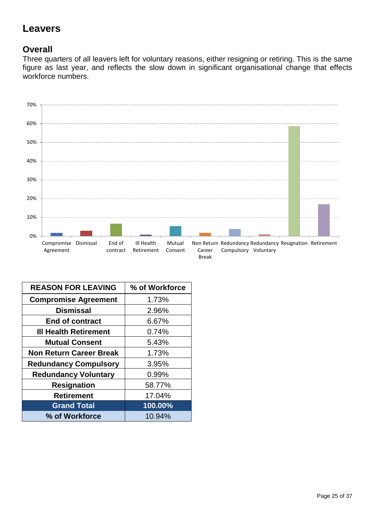## **Leavers**

## **Overall**

Three quarters of all leavers left for voluntary reasons, either resigning or retiring. This is the same figure as last year, and reflects the slow down in significant organisational change that effects workforce numbers.



| <b>REASON FOR LEAVING</b>      | % of Workforce |
|--------------------------------|----------------|
| <b>Compromise Agreement</b>    | 1.73%          |
| <b>Dismissal</b>               | 2.96%          |
| <b>End of contract</b>         | 6.67%          |
| <b>III Health Retirement</b>   | 0.74%          |
| <b>Mutual Consent</b>          | 5.43%          |
| <b>Non Return Career Break</b> | 1.73%          |
| <b>Redundancy Compulsory</b>   | 3.95%          |
| <b>Redundancy Voluntary</b>    | 0.99%          |
| <b>Resignation</b>             | 58.77%         |
| <b>Retirement</b>              | 17.04%         |
| <b>Grand Total</b>             | 100.00%        |
| % of Workforce                 | 10.94%         |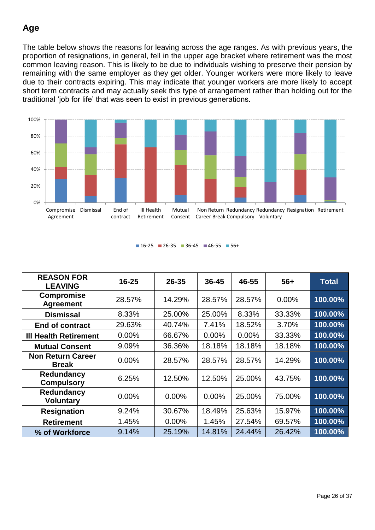## **Age**

The table below shows the reasons for leaving across the age ranges. As with previous years, the proportion of resignations, in general, fell in the upper age bracket where retirement was the most common leaving reason. This is likely to be due to individuals wishing to preserve their pension by remaining with the same employer as they get older. Younger workers were more likely to leave due to their contracts expiring. This may indicate that younger workers are more likely to accept short term contracts and may actually seek this type of arrangement rather than holding out for the traditional 'job for life' that was seen to exist in previous generations.



#### $16-25$  26-35 36-45 46-55 56+

| <b>REASON FOR</b><br><b>LEAVING</b>      | $16 - 25$ | $26 - 35$ | 36-45    | 46-55    | $56+$    | <b>Total</b> |
|------------------------------------------|-----------|-----------|----------|----------|----------|--------------|
| <b>Compromise</b><br><b>Agreement</b>    | 28.57%    | 14.29%    | 28.57%   | 28.57%   | $0.00\%$ | 100.00%      |
| <b>Dismissal</b>                         | 8.33%     | 25.00%    | 25.00%   | 8.33%    | 33.33%   | 100.00%      |
| <b>End of contract</b>                   | 29.63%    | 40.74%    | 7.41%    | 18.52%   | 3.70%    | 100.00%      |
| <b>III Health Retirement</b>             | 0.00%     | 66.67%    | $0.00\%$ | $0.00\%$ | 33.33%   | 100.00%      |
| <b>Mutual Consent</b>                    | 9.09%     | 36.36%    | 18.18%   | 18.18%   | 18.18%   | 100.00%      |
| <b>Non Return Career</b><br><b>Break</b> | $0.00\%$  | 28.57%    | 28.57%   | 28.57%   | 14.29%   | 100.00%      |
| Redundancy<br><b>Compulsory</b>          | 6.25%     | 12.50%    | 12.50%   | 25.00%   | 43.75%   | 100.00%      |
| Redundancy<br><b>Voluntary</b>           | $0.00\%$  | 0.00%     | $0.00\%$ | 25.00%   | 75.00%   | 100.00%      |
| <b>Resignation</b>                       | 9.24%     | 30.67%    | 18.49%   | 25.63%   | 15.97%   | 100.00%      |
| <b>Retirement</b>                        | 1.45%     | 0.00%     | 1.45%    | 27.54%   | 69.57%   | 100.00%      |
| % of Workforce                           | 9.14%     | 25.19%    | 14.81%   | 24.44%   | 26.42%   | 100.00%      |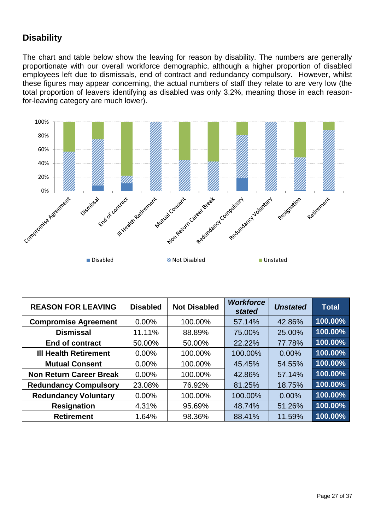## **Disability**

The chart and table below show the leaving for reason by disability. The numbers are generally proportionate with our overall workforce demographic, although a higher proportion of disabled employees left due to dismissals, end of contract and redundancy compulsory. However, whilst these figures may appear concerning, the actual numbers of staff they relate to are very low (the total proportion of leavers identifying as disabled was only 3.2%, meaning those in each reasonfor-leaving category are much lower).



| <b>REASON FOR LEAVING</b>      | <b>Disabled</b> | <b>Not Disabled</b> | <b>Workforce</b><br>stated | <b>Unstated</b> | <b>Total</b> |
|--------------------------------|-----------------|---------------------|----------------------------|-----------------|--------------|
| <b>Compromise Agreement</b>    | $0.00\%$        | 100.00%             | 57.14%                     | 42.86%          | 100.00%      |
| <b>Dismissal</b>               | 11.11%          | 88.89%              | 75.00%                     | 25.00%          | 100.00%      |
| <b>End of contract</b>         | 50.00%          | 50.00%              | 22.22%                     | 77.78%          | 100.00%      |
| <b>III Health Retirement</b>   | $0.00\%$        | 100.00%             | 100.00%                    | 0.00%           | 100.00%      |
| <b>Mutual Consent</b>          | $0.00\%$        | 100.00%             | 45.45%                     | 54.55%          | 100.00%      |
| <b>Non Return Career Break</b> | $0.00\%$        | 100.00%             | 42.86%                     | 57.14%          | 100.00%      |
| <b>Redundancy Compulsory</b>   | 23.08%          | 76.92%              | 81.25%                     | 18.75%          | 100.00%      |
| <b>Redundancy Voluntary</b>    | 0.00%           | 100.00%             | 100.00%                    | 0.00%           | 100.00%      |
| <b>Resignation</b>             | 4.31%           | 95.69%              | 48.74%                     | 51.26%          | 100.00%      |
| <b>Retirement</b>              | 1.64%           | 98.36%              | 88.41%                     | 11.59%          | 100.00%      |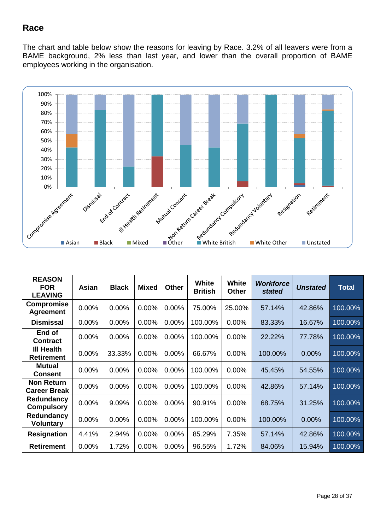### **Race**

The chart and table below show the reasons for leaving by Race. 3.2% of all leavers were from a BAME background, 2% less than last year, and lower than the overall proportion of BAME employees working in the organisation.



| <b>REASON</b><br><b>FOR</b><br><b>LEAVING</b> | Asian | <b>Black</b> | <b>Mixed</b> | <b>Other</b> | <b>White</b><br><b>British</b> | <b>White</b><br><b>Other</b> | <b>Workforce</b><br>stated | <b>Unstated</b> | <b>Total</b> |
|-----------------------------------------------|-------|--------------|--------------|--------------|--------------------------------|------------------------------|----------------------------|-----------------|--------------|
| <b>Compromise</b><br><b>Agreement</b>         | 0.00% | 0.00%        | 0.00%        | 0.00%        | 75.00%                         | 25.00%                       | 57.14%                     | 42.86%          | 100.00%      |
| <b>Dismissal</b>                              | 0.00% | 0.00%        | 0.00%        | 0.00%        | 100.00%                        | 0.00%                        | 83.33%                     | 16.67%          | 100.00%      |
| End of<br><b>Contract</b>                     | 0.00% | 0.00%        | 0.00%        | 0.00%        | 100.00%                        | 0.00%                        | 22.22%                     | 77.78%          | 100.00%      |
| <b>III Health</b><br><b>Retirement</b>        | 0.00% | 33.33%       | 0.00%        | 0.00%        | 66.67%                         | 0.00%                        | 100.00%                    | 0.00%           | 100.00%      |
| <b>Mutual</b><br><b>Consent</b>               | 0.00% | 0.00%        | 0.00%        | 0.00%        | 100.00%                        | 0.00%                        | 45.45%                     | 54.55%          | 100.00%      |
| <b>Non Return</b><br><b>Career Break</b>      | 0.00% | $0.00\%$     | $0.00\%$     | $0.00\%$     | 100.00%                        | $0.00\%$                     | 42.86%                     | 57.14%          | 100.00%      |
| Redundancy<br><b>Compulsory</b>               | 0.00% | 9.09%        | 0.00%        | 0.00%        | 90.91%                         | 0.00%                        | 68.75%                     | 31.25%          | 100.00%      |
| Redundancy<br><b>Voluntary</b>                | 0.00% | 0.00%        | 0.00%        | 0.00%        | 100.00%                        | 0.00%                        | 100.00%                    | 0.00%           | 100.00%      |
| <b>Resignation</b>                            | 4.41% | 2.94%        | 0.00%        | 0.00%        | 85.29%                         | 7.35%                        | 57.14%                     | 42.86%          | 100.00%      |
| <b>Retirement</b>                             | 0.00% | 1.72%        | 0.00%        | 0.00%        | 96.55%                         | 1.72%                        | 84.06%                     | 15.94%          | 100.00%      |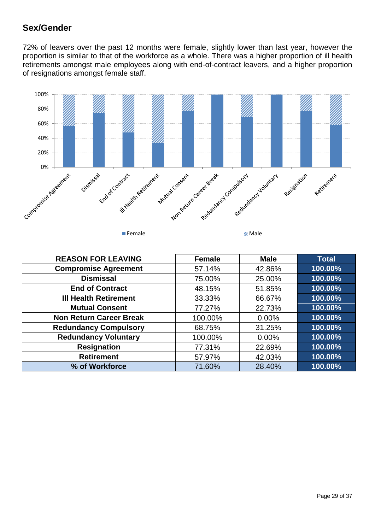### **Sex/Gender**

72% of leavers over the past 12 months were female, slightly lower than last year, however the proportion is similar to that of the workforce as a whole. There was a higher proportion of ill health retirements amongst male employees along with end-of-contract leavers, and a higher proportion of resignations amongst female staff.



| <b>REASON FOR LEAVING</b>      | <b>Female</b> | <b>Male</b> | <b>Total</b> |
|--------------------------------|---------------|-------------|--------------|
| <b>Compromise Agreement</b>    | 57.14%        | 42.86%      | 100.00%      |
| <b>Dismissal</b>               | 75.00%        | 25.00%      | 100.00%      |
| <b>End of Contract</b>         | 48.15%        | 51.85%      | 100.00%      |
| <b>III Health Retirement</b>   | 33.33%        | 66.67%      | 100.00%      |
| <b>Mutual Consent</b>          | 77.27%        | 22.73%      | 100.00%      |
| <b>Non Return Career Break</b> | 100.00%       | 0.00%       | 100.00%      |
| <b>Redundancy Compulsory</b>   | 68.75%        | 31.25%      | 100.00%      |
| <b>Redundancy Voluntary</b>    | 100.00%       | $0.00\%$    | 100.00%      |
| <b>Resignation</b>             | 77.31%        | 22.69%      | 100.00%      |
| <b>Retirement</b>              | 57.97%        | 42.03%      | 100.00%      |
| % of Workforce                 | 71.60%        | 28.40%      | 100.00%      |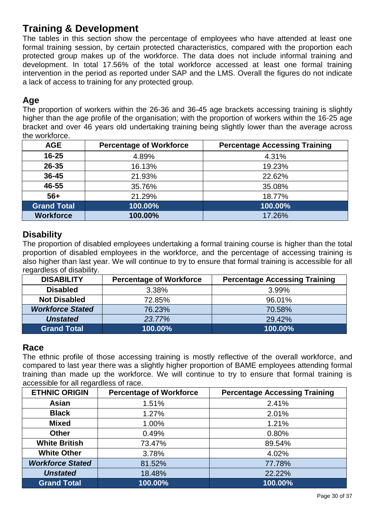## **Training & Development**

The tables in this section show the percentage of employees who have attended at least one formal training session, by certain protected characteristics, compared with the proportion each protected group makes up of the workforce. The data does not include informal training and development. In total 17.56% of the total workforce accessed at least one formal training intervention in the period as reported under SAP and the LMS. Overall the figures do not indicate a lack of access to training for any protected group.

### **Age**

The proportion of workers within the 26-36 and 36-45 age brackets accessing training is slightly higher than the age profile of the organisation; with the proportion of workers within the 16-25 age bracket and over 46 years old undertaking training being slightly lower than the average across the workforce.

| <b>AGE</b>         | <b>Percentage of Workforce</b> | <b>Percentage Accessing Training</b> |
|--------------------|--------------------------------|--------------------------------------|
| $16 - 25$          | 4.89%                          | 4.31%                                |
| $26 - 35$          | 16.13%                         | 19.23%                               |
| $36 - 45$          | 21.93%                         | 22.62%                               |
| 46-55              | 35.76%                         | 35.08%                               |
| $56+$              | 21.29%                         | 18.77%                               |
| <b>Grand Total</b> | 100.00%                        | 100.00%                              |
| <b>Workforce</b>   | 100.00%                        | 17.26%                               |

#### **Disability**

The proportion of disabled employees undertaking a formal training course is higher than the total proportion of disabled employees in the workforce, and the percentage of accessing training is also higher than last year. We will continue to try to ensure that formal training is accessible for all regardless of disability.

| <b>DISABILITY</b>       | <b>Percentage of Workforce</b> | <b>Percentage Accessing Training</b> |
|-------------------------|--------------------------------|--------------------------------------|
| <b>Disabled</b>         | 3.38%                          | 3.99%                                |
| <b>Not Disabled</b>     | 72.85%                         | 96.01%                               |
| <b>Workforce Stated</b> | 76.23%                         | 70.58%                               |
| <b>Unstated</b>         | 23.77%                         | 29.42%                               |
| <b>Grand Total</b>      | 100.00%                        | 100.00%                              |

#### **Race**

The ethnic profile of those accessing training is mostly reflective of the overall workforce, and compared to last year there was a slightly higher proportion of BAME employees attending formal training than made up the workforce. We will continue to try to ensure that formal training is accessible for all regardless of race.

| <b>ETHNIC ORIGIN</b>    | <b>Percentage of Workforce</b> | <b>Percentage Accessing Training</b> |
|-------------------------|--------------------------------|--------------------------------------|
| <b>Asian</b>            | 1.51%                          | 2.41%                                |
| <b>Black</b>            | 1.27%                          | 2.01%                                |
| <b>Mixed</b>            | 1.00%                          | 1.21%                                |
| <b>Other</b>            | 0.49%                          | 0.80%                                |
| <b>White British</b>    | 73.47%                         | 89.54%                               |
| <b>White Other</b>      | 3.78%                          | 4.02%                                |
| <b>Workforce Stated</b> | 81.52%                         | 77.78%                               |
| <b>Unstated</b>         | 18.48%                         | 22.22%                               |
| <b>Grand Total</b>      | 100.00%                        | 100.00%                              |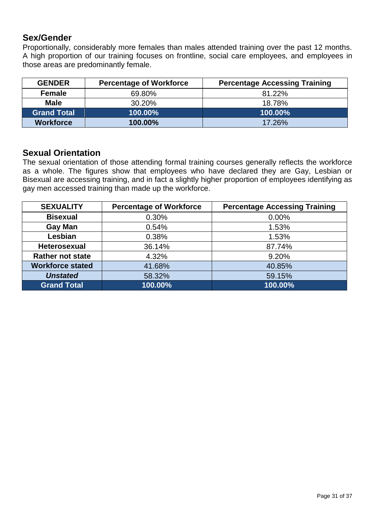#### **Sex/Gender**

Proportionally, considerably more females than males attended training over the past 12 months. A high proportion of our training focuses on frontline, social care employees, and employees in those areas are predominantly female.

| <b>GENDER</b>      | <b>Percentage of Workforce</b> | <b>Percentage Accessing Training</b> |
|--------------------|--------------------------------|--------------------------------------|
| <b>Female</b>      | 69.80%                         | 81.22%                               |
| <b>Male</b>        | 30.20%                         | 18.78%                               |
| <b>Grand Total</b> | 100.00%                        | 100.00%                              |
| <b>Workforce</b>   | 100.00%                        | 17.26%                               |

#### **Sexual Orientation**

The sexual orientation of those attending formal training courses generally reflects the workforce as a whole. The figures show that employees who have declared they are Gay, Lesbian or Bisexual are accessing training, and in fact a slightly higher proportion of employees identifying as gay men accessed training than made up the workforce.

| <b>SEXUALITY</b>        | <b>Percentage of Workforce</b> | <b>Percentage Accessing Training</b> |
|-------------------------|--------------------------------|--------------------------------------|
| <b>Bisexual</b>         | 0.30%                          | $0.00\%$                             |
| <b>Gay Man</b>          | 0.54%                          | 1.53%                                |
| Lesbian                 | 0.38%                          | 1.53%                                |
| Heterosexual            | 36.14%                         | 87.74%                               |
| <b>Rather not state</b> | 4.32%                          | 9.20%                                |
| <b>Workforce stated</b> | 41.68%                         | 40.85%                               |
| <b>Unstated</b>         | 58.32%                         | 59.15%                               |
| <b>Grand Total</b>      | 100.00%                        | 100.00%                              |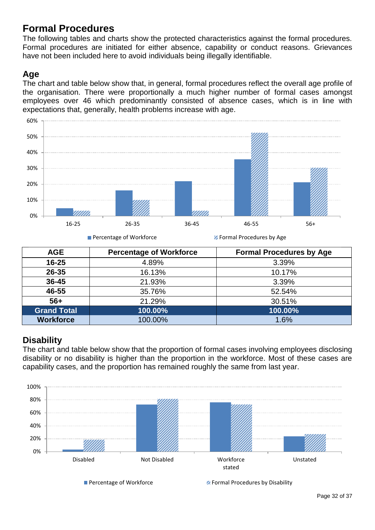## **Formal Procedures**

The following tables and charts show the protected characteristics against the formal procedures. Formal procedures are initiated for either absence, capability or conduct reasons. Grievances have not been included here to avoid individuals being illegally identifiable.

## **Age**

The chart and table below show that, in general, formal procedures reflect the overall age profile of the organisation. There were proportionally a much higher number of formal cases amongst employees over 46 which predominantly consisted of absence cases, which is in line with expectations that, generally, health problems increase with age.



**Percentage of Workforce** Formal Procedures by Age

| <b>AGE</b>         | <b>Percentage of Workforce</b> | <b>Formal Procedures by Age</b> |
|--------------------|--------------------------------|---------------------------------|
| $16 - 25$          | 4.89%                          | 3.39%                           |
| 26-35              | 16.13%                         | 10.17%                          |
| 36-45              | 21.93%                         | 3.39%                           |
| 46-55              | 35.76%                         | 52.54%                          |
| $56+$              | 21.29%                         | 30.51%                          |
| <b>Grand Total</b> | 100.00%                        | 100.00%                         |
| <b>Workforce</b>   | 100.00%                        | 1.6%                            |

### **Disability**

The chart and table below show that the proportion of formal cases involving employees disclosing disability or no disability is higher than the proportion in the workforce. Most of these cases are capability cases, and the proportion has remained roughly the same from last year.



**Percentage of Workforce** Formal Procedures by Disability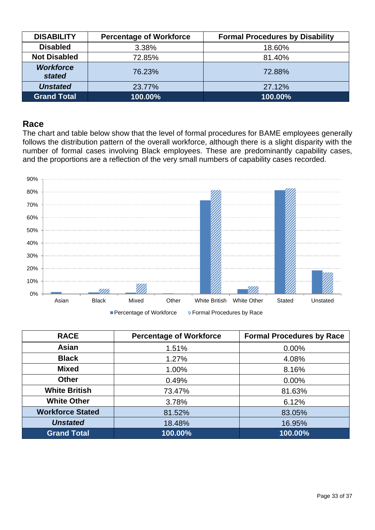| <b>DISABILITY</b>          | <b>Percentage of Workforce</b> | <b>Formal Procedures by Disability</b> |
|----------------------------|--------------------------------|----------------------------------------|
| <b>Disabled</b>            | 3.38%                          | 18.60%                                 |
| <b>Not Disabled</b>        | 72.85%                         | 81.40%                                 |
| <b>Workforce</b><br>stated | 76.23%<br>72.88%               |                                        |
| <b>Unstated</b>            | 23.77%                         | 27.12%                                 |
| <b>Grand Total</b>         | 100.00%                        | 100.00%                                |

#### **Race**

The chart and table below show that the level of formal procedures for BAME employees generally follows the distribution pattern of the overall workforce, although there is a slight disparity with the number of formal cases involving Black employees. These are predominantly capability cases, and the proportions are a reflection of the very small numbers of capability cases recorded.



| <b>RACE</b>             | <b>Percentage of Workforce</b> | <b>Formal Procedures by Race</b> |
|-------------------------|--------------------------------|----------------------------------|
| Asian                   | 1.51%                          | 0.00%                            |
| <b>Black</b>            | 1.27%                          | 4.08%                            |
| <b>Mixed</b>            | 1.00%                          | 8.16%                            |
| <b>Other</b>            | 0.49%                          | 0.00%                            |
| <b>White British</b>    | 73.47%                         | 81.63%                           |
| <b>White Other</b>      | 3.78%                          | 6.12%                            |
| <b>Workforce Stated</b> | 81.52%                         | 83.05%                           |
| <b>Unstated</b>         | 18.48%                         | 16.95%                           |
| <b>Grand Total</b>      | 100.00%                        | 100.00%                          |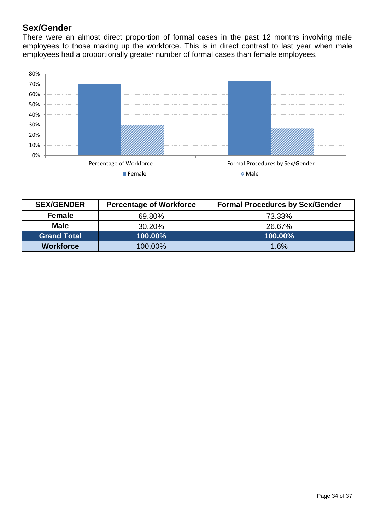### **Sex/Gender**

There were an almost direct proportion of formal cases in the past 12 months involving male employees to those making up the workforce. This is in direct contrast to last year when male employees had a proportionally greater number of formal cases than female employees.



| <b>SEX/GENDER</b>             | <b>Percentage of Workforce</b> | <b>Formal Procedures by Sex/Gender</b> |  |
|-------------------------------|--------------------------------|----------------------------------------|--|
| <b>Female</b>                 | 69.80%                         | 73.33%                                 |  |
| <b>Male</b><br>30.20%         |                                | 26.67%                                 |  |
| <b>Grand Total</b><br>100.00% |                                | 100.00%                                |  |
| <b>Workforce</b>              | 100.00%                        | 1.6%                                   |  |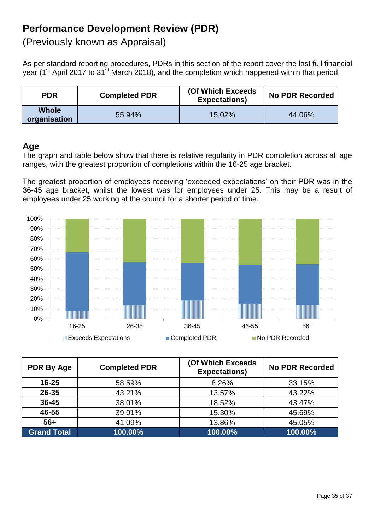## **Performance Development Review (PDR)**

(Previously known as Appraisal)

As per standard reporting procedures, PDRs in this section of the report cover the last full financial year (1<sup>st</sup> April 2017 to 31<sup>st</sup> March 2018), and the completion which happened within that period.

| <b>PDR</b>                   | <b>Completed PDR</b> | (Of Which Exceeds)<br><b>Expectations</b> ) | <b>No PDR Recorded</b> |
|------------------------------|----------------------|---------------------------------------------|------------------------|
| <b>Whole</b><br>organisation | 55.94%               | 15.02%                                      | 44.06%                 |

#### **Age**

The graph and table below show that there is relative regularity in PDR completion across all age ranges, with the greatest proportion of completions within the 16-25 age bracket.

The greatest proportion of employees receiving 'exceeded expectations' on their PDR was in the 36-45 age bracket, whilst the lowest was for employees under 25. This may be a result of employees under 25 working at the council for a shorter period of time.



| <b>PDR By Age</b>  | <b>Completed PDR</b> | (Of Which Exceeds<br><b>Expectations)</b> | <b>No PDR Recorded</b> |
|--------------------|----------------------|-------------------------------------------|------------------------|
| $16 - 25$          | 58.59%               | 8.26%                                     | 33.15%                 |
| 26-35              | 43.21%               | 13.57%                                    | 43.22%                 |
| 36-45              | 38.01%               | 18.52%                                    | 43.47%                 |
| 46-55              | 39.01%               | 15.30%                                    | 45.69%                 |
| $56+$              | 41.09%               | 13.86%                                    | 45.05%                 |
| <b>Grand Total</b> | 100.00%              | 100.00%                                   | 100.00%                |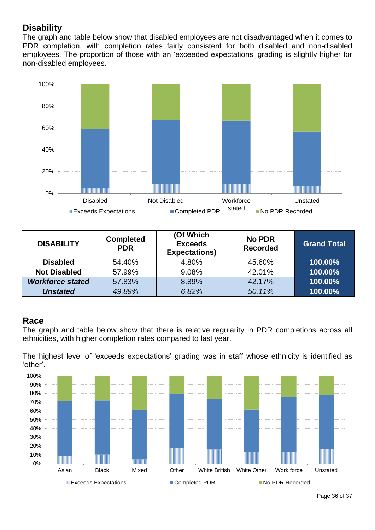## **Disability**

The graph and table below show that disabled employees are not disadvantaged when it comes to PDR completion, with completion rates fairly consistent for both disabled and non-disabled employees. The proportion of those with an 'exceeded expectations' grading is slightly higher for non-disabled employees.



| <b>DISABILITY</b>       | <b>Completed</b><br><b>PDR</b> | (Of Which<br><b>Exceeds</b><br><b>Expectations)</b> | <b>No PDR</b><br><b>Recorded</b> | <b>Grand Total</b> |
|-------------------------|--------------------------------|-----------------------------------------------------|----------------------------------|--------------------|
| <b>Disabled</b>         | 54.40%                         | 4.80%                                               | 45.60%                           | 100.00%            |
| <b>Not Disabled</b>     | 57.99%                         | 9.08%                                               | 42.01%                           | 100.00%            |
| <b>Workforce stated</b> | 57.83%                         | 8.89%                                               | 42.17%                           | 100.00%            |
| <b>Unstated</b>         | 49.89%                         | 6.82%                                               | 50.11%                           | 100.00%            |

#### **Race**

The graph and table below show that there is relative regularity in PDR completions across all ethnicities, with higher completion rates compared to last year.

The highest level of 'exceeds expectations' grading was in staff whose ethnicity is identified as 'other'.